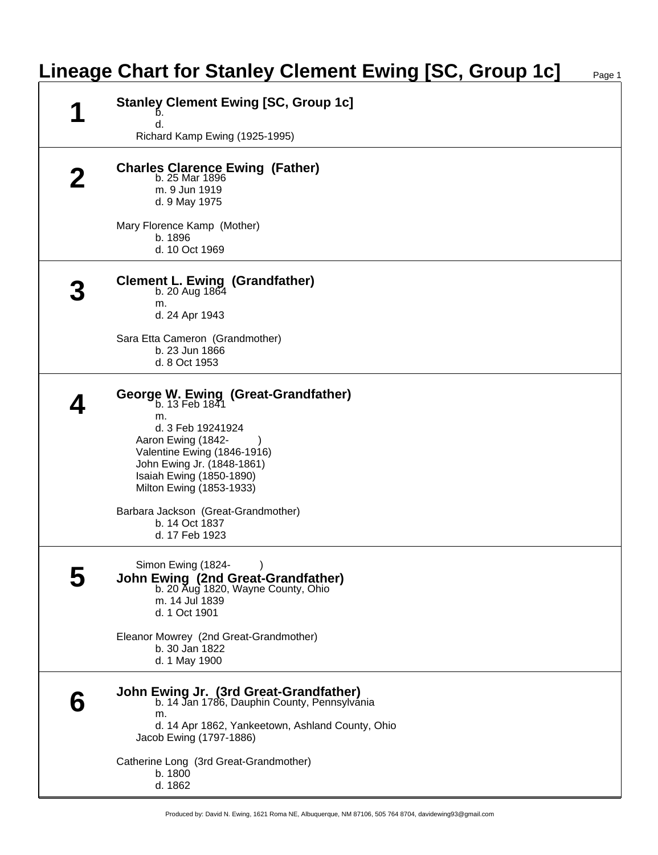## **Lineage Chart for Stanley Clement Ewing [SC, Group 1c]**

| <b>Stanley Clement Ewing [SC, Group 1c]</b><br>d.<br>Richard Kamp Ewing (1925-1995)                                                                                                                                                                                                                           |
|---------------------------------------------------------------------------------------------------------------------------------------------------------------------------------------------------------------------------------------------------------------------------------------------------------------|
| Charles Clarence Ewing (Father)<br>b. 25 Mar 1896<br>m. 9 Jun 1919<br>d. 9 May 1975                                                                                                                                                                                                                           |
| Mary Florence Kamp (Mother)<br>b. 1896<br>d. 10 Oct 1969                                                                                                                                                                                                                                                      |
| Clement L. Ewing (Grandfather)<br>b. 20 Aug $1864$<br>m.<br>d. 24 Apr 1943                                                                                                                                                                                                                                    |
| Sara Etta Cameron (Grandmother)<br>b. 23 Jun 1866<br>d. 8 Oct 1953                                                                                                                                                                                                                                            |
| <b>George W. Ewing (Great-Grandfather)</b><br>b. 13 Feb 1841<br>m.<br>d. 3 Feb 19241924<br>Aaron Ewing (1842-<br>Valentine Ewing (1846-1916)<br>John Ewing Jr. (1848-1861)<br>Isaiah Ewing (1850-1890)<br>Milton Ewing (1853-1933)<br>Barbara Jackson (Great-Grandmother)<br>b. 14 Oct 1837<br>d. 17 Feb 1923 |
| Simon Ewing (1824-<br>John Ewing (2nd Great-Grandfather)<br>b. 20 Aug 1820, Wayne County, Ohio<br>m. 14 Jul 1839<br>d. 1 Oct 1901                                                                                                                                                                             |
| Eleanor Mowrey (2nd Great-Grandmother)<br>b. 30 Jan 1822<br>d. 1 May 1900                                                                                                                                                                                                                                     |
| <b>John Ewing Jr. (3rd Great-Grandfather)</b><br>b. 14 Jan 1786, Dauphin County, Pennsylvania<br>m.<br>d. 14 Apr 1862, Yankeetown, Ashland County, Ohio<br>Jacob Ewing (1797-1886)                                                                                                                            |
| Catherine Long (3rd Great-Grandmother)<br>b. 1800<br>d. 1862                                                                                                                                                                                                                                                  |